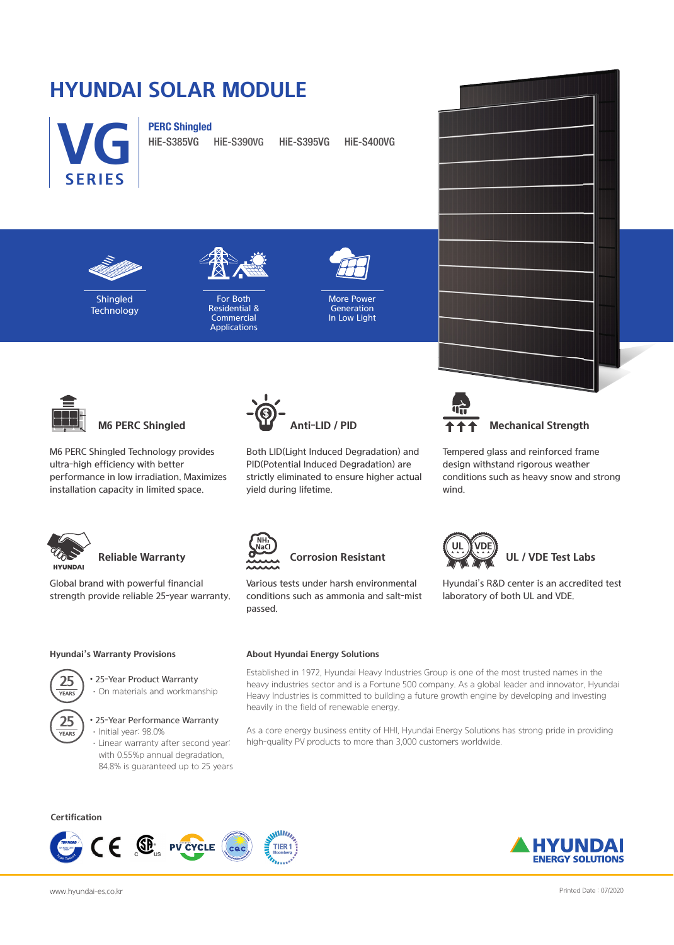# **HYUNDAI SOLAR MODULE**



HiE-S385VG HiE-S390VG HiE-S395VG HiE-S400VG



**VG**

**SERIES**

Shingled **Technology** 



For Both Residential & **Commercial** Applications



More Power Generation In Low Light



M6 PERC Shingled Technology provides ultra-high efficiency with better performance in low irradiation. Maximizes installation capacity in limited space.



Global brand with powerful financial strength provide reliable 25-year warranty.



Both LID(Light Induced Degradation) and PID(Potential Induced Degradation) are strictly eliminated to ensure higher actual yield during lifetime.



Tempered glass and reinforced frame design withstand rigorous weather conditions such as heavy snow and strong wind.



Various tests under harsh environmental conditions such as ammonia and salt-mist passed.



Hyundai's R&D center is an accredited test laboratory of both UL and VDE.

### **Hyundai's Warranty Provisions**

**25**

• 25-Year Product Warranty ·On materials and workmanship



### • 25-Year Performance Warranty ·Initial year: 98.0%

·Linear warranty after second year: with 0.55%p annual degradation, 84.8% is guaranteed up to 25 years

## **About Hyundai Energy Solutions**

Established in 1972, Hyundai Heavy Industries Group is one of the most trusted names in the heavy industries sector and is a Fortune 500 company. As a global leader and innovator, Hyundai Heavy Industries is committed to building a future growth engine by developing and investing heavily in the field of renewable energy.

As a core energy business entity of HHI, Hyundai Energy Solutions has strong pride in providing high-quality PV products to more than 3,000 customers worldwide.

**Certification**